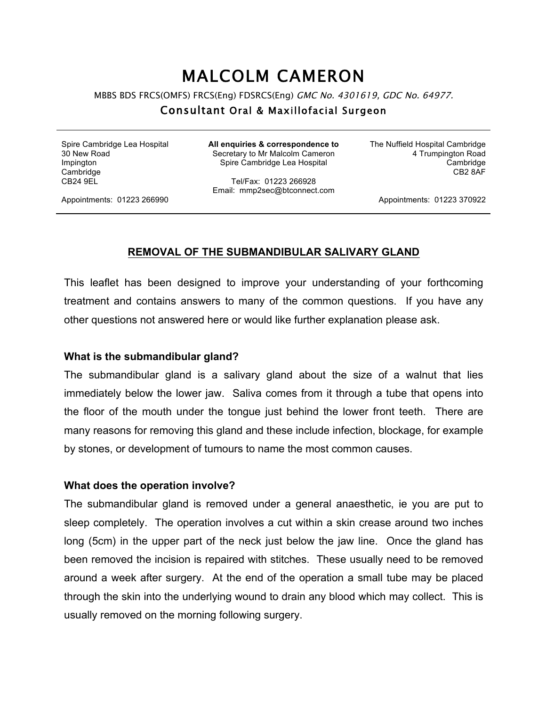# MALCOLM CAMERON

MBBS BDS FRCS(OMFS) FRCS(Eng) FDSRCS(Eng) GMC No. 4301619, GDC No. 64977.

#### Consultant Oral & Maxillofacial Surgeon

Spire Cambridge Lea Hospital 30 New Road Impington **Cambridge** CB24 9EL

**All enquiries & correspondence to** Secretary to Mr Malcolm Cameron Spire Cambridge Lea Hospital

Tel/Fax: 01223 266928 Email: mmp2sec@btconnect.com The Nuffield Hospital Cambridge 4 Trumpington Road Cambridge CB2 8AF

Appointments: 01223 266990

Appointments: 01223 370922

#### **REMOVAL OF THE SUBMANDIBULAR SALIVARY GLAND**

This leaflet has been designed to improve your understanding of your forthcoming treatment and contains answers to many of the common questions. If you have any other questions not answered here or would like further explanation please ask.

#### **What is the submandibular gland?**

The submandibular gland is a salivary gland about the size of a walnut that lies immediately below the lower jaw. Saliva comes from it through a tube that opens into the floor of the mouth under the tongue just behind the lower front teeth. There are many reasons for removing this gland and these include infection, blockage, for example by stones, or development of tumours to name the most common causes.

#### **What does the operation involve?**

The submandibular gland is removed under a general anaesthetic, ie you are put to sleep completely. The operation involves a cut within a skin crease around two inches long (5cm) in the upper part of the neck just below the jaw line. Once the gland has been removed the incision is repaired with stitches. These usually need to be removed around a week after surgery. At the end of the operation a small tube may be placed through the skin into the underlying wound to drain any blood which may collect. This is usually removed on the morning following surgery.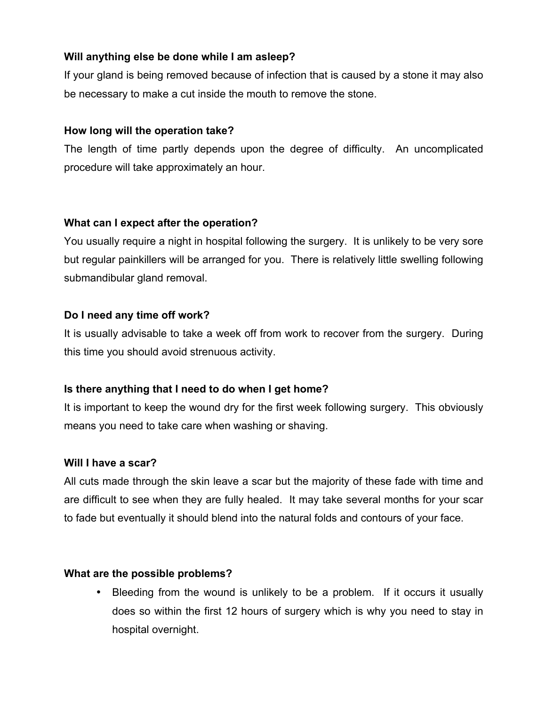# **Will anything else be done while I am asleep?**

If your gland is being removed because of infection that is caused by a stone it may also be necessary to make a cut inside the mouth to remove the stone.

# **How long will the operation take?**

The length of time partly depends upon the degree of difficulty. An uncomplicated procedure will take approximately an hour.

# **What can I expect after the operation?**

You usually require a night in hospital following the surgery. It is unlikely to be very sore but regular painkillers will be arranged for you. There is relatively little swelling following submandibular gland removal.

# **Do I need any time off work?**

It is usually advisable to take a week off from work to recover from the surgery. During this time you should avoid strenuous activity.

# **Is there anything that I need to do when I get home?**

It is important to keep the wound dry for the first week following surgery. This obviously means you need to take care when washing or shaving.

## **Will I have a scar?**

All cuts made through the skin leave a scar but the majority of these fade with time and are difficult to see when they are fully healed. It may take several months for your scar to fade but eventually it should blend into the natural folds and contours of your face.

# **What are the possible problems?**

• Bleeding from the wound is unlikely to be a problem. If it occurs it usually does so within the first 12 hours of surgery which is why you need to stay in hospital overnight.